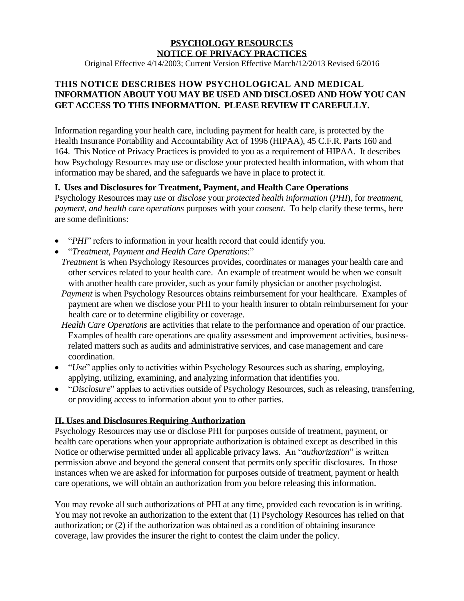## **PSYCHOLOGY RESOURCES NOTICE OF PRIVACY PRACTICES**

Original Effective 4/14/2003; Current Version Effective March/12/2013 Revised 6/2016

## **THIS NOTICE DESCRIBES HOW PSYCHOLOGICAL AND MEDICAL INFORMATION ABOUT YOU MAY BE USED AND DISCLOSED AND HOW YOU CAN GET ACCESS TO THIS INFORMATION. PLEASE REVIEW IT CAREFULLY.**

Information regarding your health care, including payment for health care, is protected by the Health Insurance Portability and Accountability Act of 1996 (HIPAA), 45 C.F.R. Parts 160 and 164. This Notice of Privacy Practices is provided to you as a requirement of HIPAA. It describes how Psychology Resources may use or disclose your protected health information, with whom that information may be shared, and the safeguards we have in place to protect it.

#### **I. Uses and Disclosures for Treatment, Payment, and Health Care Operations**

Psychology Resources may *use* or *disclose* your *protected health information* (*PHI*), for *treatment, payment, and health care operations* purposes with your *consent*. To help clarify these terms, here are some definitions:

- "*PHI*" refers to information in your health record that could identify you.
- "*Treatment, Payment and Health Care Operations*:"
- *Treatment* is when Psychology Resources provides, coordinates or manages your health care and other services related to your health care. An example of treatment would be when we consult with another health care provider, such as your family physician or another psychologist.
- *Payment* is when Psychology Resources obtains reimbursement for your healthcare. Examples of payment are when we disclose your PHI to your health insurer to obtain reimbursement for your health care or to determine eligibility or coverage.
- *Health Care Operations* are activities that relate to the performance and operation of our practice. Examples of health care operations are quality assessment and improvement activities, businessrelated matters such as audits and administrative services, and case management and care coordination.
- *"Use"* applies only to activities within Psychology Resources such as sharing, employing, applying, utilizing, examining, and analyzing information that identifies you.
- "*Disclosure*" applies to activities outside of Psychology Resources, such as releasing, transferring, or providing access to information about you to other parties.

#### **II. Uses and Disclosures Requiring Authorization**

Psychology Resources may use or disclose PHI for purposes outside of treatment, payment, or health care operations when your appropriate authorization is obtained except as described in this Notice or otherwise permitted under all applicable privacy laws. An "*authorization*" is written permission above and beyond the general consent that permits only specific disclosures. In those instances when we are asked for information for purposes outside of treatment, payment or health care operations, we will obtain an authorization from you before releasing this information.

You may revoke all such authorizations of PHI at any time, provided each revocation is in writing. You may not revoke an authorization to the extent that (1) Psychology Resources has relied on that authorization; or (2) if the authorization was obtained as a condition of obtaining insurance coverage, law provides the insurer the right to contest the claim under the policy.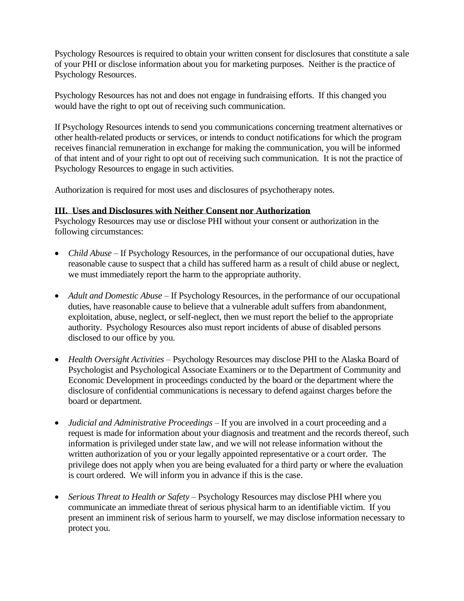Psychology Resources is required to obtain your written consent for disclosures that constitute a sale of your PHI or disclose information about you for marketing purposes. Neither is the practice of Psychology Resources.

Psychology Resources has not and does not engage in fundraising efforts. If this changed you would have the right to opt out of receiving such communication.

If Psychology Resources intends to send you communications concerning treatment alternatives or other health-related products or services, or intends to conduct notifications for which the program receives financial remuneration in exchange for making the communication, you will be informed of that intent and of your right to opt out of receiving such communication. It is not the practice of Psychology Resources to engage in such activities.

Authorization is required for most uses and disclosures of psychotherapy notes.

## **III. Uses and Disclosures with Neither Consent nor Authorization**

Psychology Resources may use or disclose PHI without your consent or authorization in the following circumstances:

- *Child Abuse* If Psychology Resources, in the performance of our occupational duties, have reasonable cause to suspect that a child has suffered harm as a result of child abuse or neglect, we must immediately report the harm to the appropriate authority.
- *Adult and Domestic Abuse* If Psychology Resources, in the performance of our occupational duties, have reasonable cause to believe that a vulnerable adult suffers from abandonment, exploitation, abuse, neglect, or self-neglect, then we must report the belief to the appropriate authority. Psychology Resources also must report incidents of abuse of disabled persons disclosed to our office by you.
- *Health Oversight Activities* Psychology Resources may disclose PHI to the Alaska Board of Psychologist and Psychological Associate Examiners or to the Department of Community and Economic Development in proceedings conducted by the board or the department where the disclosure of confidential communications is necessary to defend against charges before the board or department.
- *Judicial and Administrative Proceedings* If you are involved in a court proceeding and a request is made for information about your diagnosis and treatment and the records thereof, such information is privileged under state law, and we will not release information without the written authorization of you or your legally appointed representative or a court order. The privilege does not apply when you are being evaluated for a third party or where the evaluation is court ordered. We will inform you in advance if this is the case.
- *Serious Threat to Health or Safety* Psychology Resources may disclose PHI where you communicate an immediate threat of serious physical harm to an identifiable victim. If you present an imminent risk of serious harm to yourself, we may disclose information necessary to protect you.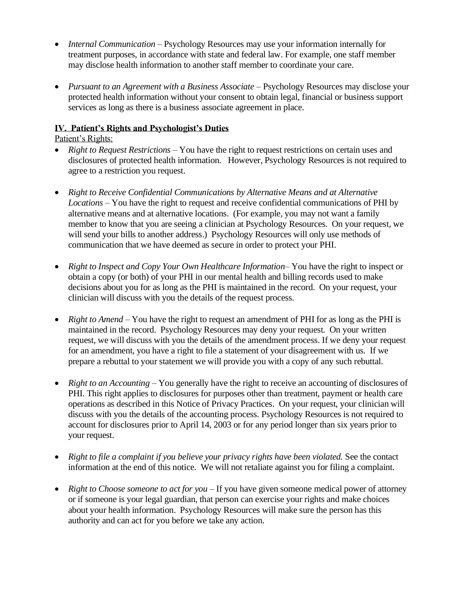- *Internal Communication* Psychology Resources may use your information internally for treatment purposes, in accordance with state and federal law. For example, one staff member may disclose health information to another staff member to coordinate your care.
- *Pursuant to an Agreement with a Business Associate –* Psychology Resources may disclose your protected health information without your consent to obtain legal, financial or business support services as long as there is a business associate agreement in place.

#### **IV. Patient's Rights and Psychologist's Duties**

### Patient's Rights:

- *Right to Request Restrictions* You have the right to request restrictions on certain uses and disclosures of protected health information. However, Psychology Resources is not required to agree to a restriction you request.
- *Right to Receive Confidential Communications by Alternative Means and at Alternative Locations* – You have the right to request and receive confidential communications of PHI by alternative means and at alternative locations. (For example, you may not want a family member to know that you are seeing a clinician at Psychology Resources. On your request, we will send your bills to another address.) Psychology Resources will only use methods of communication that we have deemed as secure in order to protect your PHI.
- *Right to Inspect and Copy Your Own Healthcare Information* You have the right to inspect or obtain a copy (or both) of your PHI in our mental health and billing records used to make decisions about you for as long as the PHI is maintained in the record. On your request, your clinician will discuss with you the details of the request process.
- *Right to Amend* You have the right to request an amendment of PHI for as long as the PHI is maintained in the record. Psychology Resources may deny your request. On your written request, we will discuss with you the details of the amendment process. If we deny your request for an amendment, you have a right to file a statement of your disagreement with us. If we prepare a rebuttal to your statement we will provide you with a copy of any such rebuttal.
- *Right to an Accounting* You generally have the right to receive an accounting of disclosures of PHI. This right applies to disclosures for purposes other than treatment, payment or health care operations as described in this Notice of Privacy Practices. On your request, your clinician will discuss with you the details of the accounting process. Psychology Resources is not required to account for disclosures prior to April 14, 2003 or for any period longer than six years prior to your request.
- *Right to file a complaint if you believe your privacy rights have been violated.* See the contact information at the end of this notice. We will not retaliate against you for filing a complaint.
- *Right to Choose someone to act for you* If you have given someone medical power of attorney or if someone is your legal guardian, that person can exercise your rights and make choices about your health information. Psychology Resources will make sure the person has this authority and can act for you before we take any action.